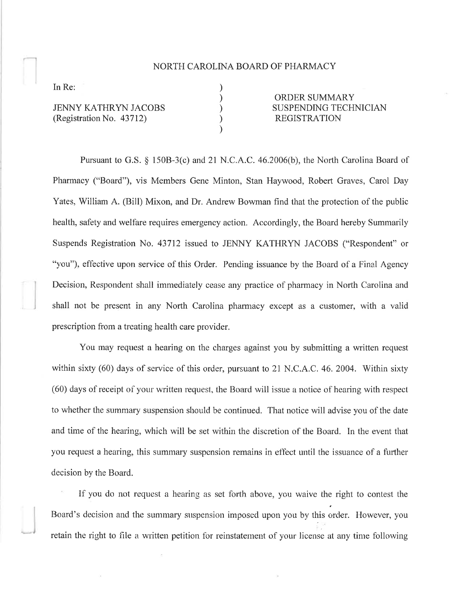## NORTH CAROLINA BOARD OF PHARMACY

) )  $\overline{\mathcal{E}}$ ) )

In Re:

JENNY KATHRYN JACOBS (Registration No. 43712)

ORDER SUMMARY SUSPENDING TECHNICIAN **EGISTRATION** 

Pursuant to G.S. \$ 1508-3(c) and 2l N.C.A.C. 46.2006(b), the North Carolina Board of Pharmacy ("Board"), vis Members Gene Minton, Stan Haywood, Robert Graves, Carol Day Yates, William A. (Bill) Mixon, and Dr. Andrew Bowman find that the protection of the public health, safety and welfare requires emergency action. Accordingly, the Board hereby Summarily Suspends Registration No. 43712 issued to JENNY KATHRYN JACOBS ("Respondent" or "you"), effective upon service of this Order. Pending issuance by the Board of a Final Agency Decision, Respondent shall immediately cease any practice of pharmacy in North Carolina and shall not be present in any North Carolina pharnracy except as a customer, with a valid prescription from a treating health care provider.

You may request a hearing on the charges against you by submitting a written request within sixty (60) days of service of this order, pursuant to 21 N.C.A.C. 46. 2004. Within sixty (60) days of receipt of your written request, the Board will issue a notice of hearing with respect to whether the summary suspension should be continued. That notice will advise you of the date and time of the hearing, which will be set within the discretion of the Board. In the event that you request a hearing, this summary suspension remains in effect until the issuance of a further decision by the Board.

If you do not request a hearing as set forth above, you waive the right to contest the Board's decision and the summary suspension imposed upon you by this order. However, you :. retain the right to file a written petition for reinstatement of your license at any time following